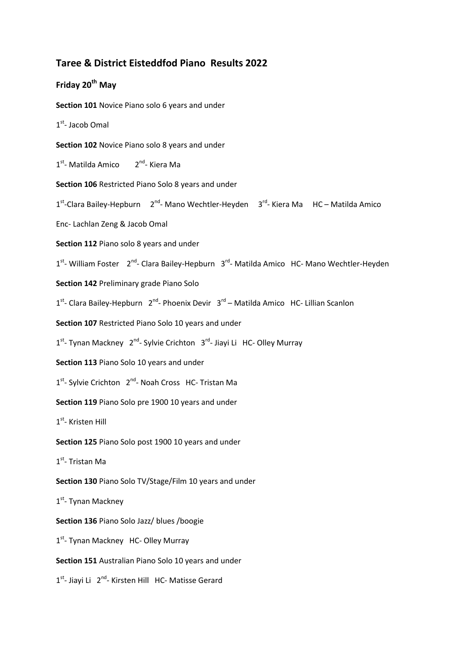# **Taree & District Eisteddfod Piano Results 2022**

# **Friday 20th May**

**Section 101** Novice Piano solo 6 years and under

1<sup>st</sup>- Jacob Omal

**Section 102** Novice Piano solo 8 years and under

1<sup>st</sup>- Matilda Amico 2<sup>nd</sup>- Kiera Ma

**Section 106** Restricted Piano Solo 8 years and under

1<sup>st</sup>-Clara Bailey-Hepburn 2<sup>nd</sup>- Mano Wechtler-Heyden 3<sup>rd</sup>- Kiera Ma HC – Matilda Amico

Enc- Lachlan Zeng & Jacob Omal

**Section 112** Piano solo 8 years and under

1<sup>st</sup>- William Foster 2<sup>nd</sup>- Clara Bailey-Hepburn 3<sup>rd</sup>- Matilda Amico HC- Mano Wechtler-Heyden

**Section 142** Preliminary grade Piano Solo

1<sup>st</sup>- Clara Bailey-Hepburn 2<sup>nd</sup>- Phoenix Devir 3<sup>rd</sup> – Matilda Amico HC- Lillian Scanlon

**Section 107** Restricted Piano Solo 10 years and under

1<sup>st</sup>- Tynan Mackney 2<sup>nd</sup>- Sylvie Crichton 3<sup>rd</sup>- Jiayi Li HC- Olley Murray

**Section 113** Piano Solo 10 years and under

1<sup>st</sup>- Sylvie Crichton 2<sup>nd</sup>- Noah Cross HC- Tristan Ma

**Section 119** Piano Solo pre 1900 10 years and under

1<sup>st</sup>- Kristen Hill

**Section 125** Piano Solo post 1900 10 years and under

1<sup>st</sup>-Tristan Ma

**Section 130** Piano Solo TV/Stage/Film 10 years and under

1<sup>st</sup>- Tynan Mackney

**Section 136** Piano Solo Jazz/ blues /boogie

1<sup>st</sup>- Tynan Mackney HC- Olley Murray

**Section 151** Australian Piano Solo 10 years and under

1<sup>st</sup>- Jiayi Li 2<sup>nd</sup>- Kirsten Hill HC- Matisse Gerard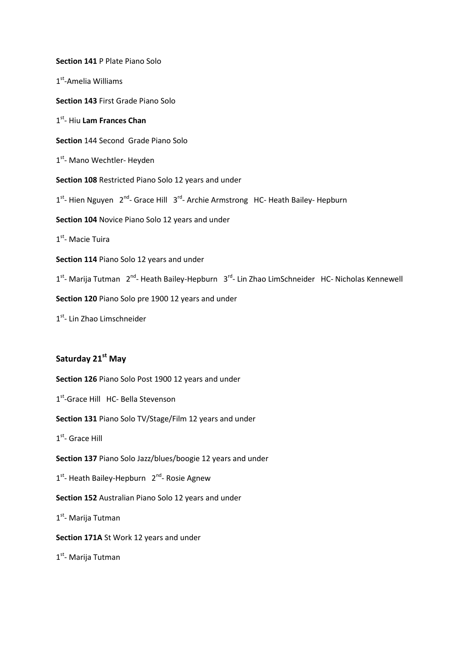**Section 141** P Plate Piano Solo 1<sup>st</sup>-Amelia Williams **Section 143** First Grade Piano Solo 1 st - Hiu **Lam Frances Chan Section** 144 Second Grade Piano Solo 1<sup>st</sup>- Mano Wechtler- Heyden **Section 108** Restricted Piano Solo 12 years and under 1<sup>st</sup>- Hien Nguyen 2<sup>nd</sup>- Grace Hill 3<sup>rd</sup>- Archie Armstrong HC- Heath Bailey- Hepburn **Section 104** Novice Piano Solo 12 years and under 1<sup>st</sup>- Macie Tuira **Section 114** Piano Solo 12 years and under 1<sup>st</sup>- Marija Tutman 2<sup>nd</sup>- Heath Bailey-Hepburn 3<sup>rd</sup>- Lin Zhao LimSchneider HC- Nicholas Kennewell **Section 120** Piano Solo pre 1900 12 years and under 1<sup>st</sup>- Lin Zhao Limschneider **Saturday 21st May** 

**Section 126** Piano Solo Post 1900 12 years and under

1<sup>st</sup>-Grace Hill HC- Bella Stevenson

**Section 131** Piano Solo TV/Stage/Film 12 years and under

1<sup>st</sup>- Grace Hill

**Section 137** Piano Solo Jazz/blues/boogie 12 years and under

1<sup>st</sup>- Heath Bailey-Hepburn 2<sup>nd</sup>- Rosie Agnew

**Section 152** Australian Piano Solo 12 years and under

1<sup>st</sup>- Marija Tutman

**Section 171A** St Work 12 years and under

1<sup>st</sup>- Marija Tutman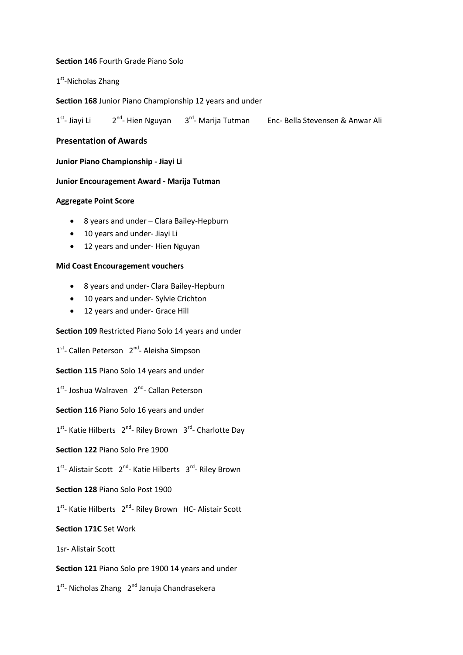# **Section 146** Fourth Grade Piano Solo

# 1<sup>st</sup>-Nicholas Zhang

# **Section 168** Junior Piano Championship 12 years and under

1<sup>st</sup>- Jiayi Li 2 <sup>nd</sup>- Hien Nguyan 3<sup>rd</sup>- Marija Tutman Enc- Bella Stevensen & Anwar Ali

# **Presentation of Awards**

**Junior Piano Championship - Jiayi Li**

#### **Junior Encouragement Award - Marija Tutman**

# **Aggregate Point Score**

- 8 years and under Clara Bailey-Hepburn
- 10 years and under- Jiayi Li
- 12 years and under-Hien Nguyan

# **Mid Coast Encouragement vouchers**

- 8 years and under- Clara Bailey-Hepburn
- 10 years and under- Sylvie Crichton
- 12 years and under- Grace Hill

# **Section 109** Restricted Piano Solo 14 years and under

1<sup>st</sup>- Callen Peterson 2<sup>nd</sup>- Aleisha Simpson

**Section 115** Piano Solo 14 years and under

1<sup>st</sup>- Joshua Walraven 2<sup>nd</sup>- Callan Peterson

**Section 116** Piano Solo 16 years and under

1<sup>st</sup>- Katie Hilberts 2<sup>nd</sup>- Riley Brown 3<sup>rd</sup>- Charlotte Day

**Section 122** Piano Solo Pre 1900

1<sup>st</sup>- Alistair Scott 2<sup>nd</sup>- Katie Hilberts 3<sup>rd</sup>- Riley Brown

# **Section 128** Piano Solo Post 1900

1<sup>st</sup>- Katie Hilberts 2<sup>nd</sup>- Riley Brown HC- Alistair Scott

# **Section 171C** Set Work

1sr- Alistair Scott

**Section 121** Piano Solo pre 1900 14 years and under

1<sup>st</sup>- Nicholas Zhang 2<sup>nd</sup> Januja Chandrasekera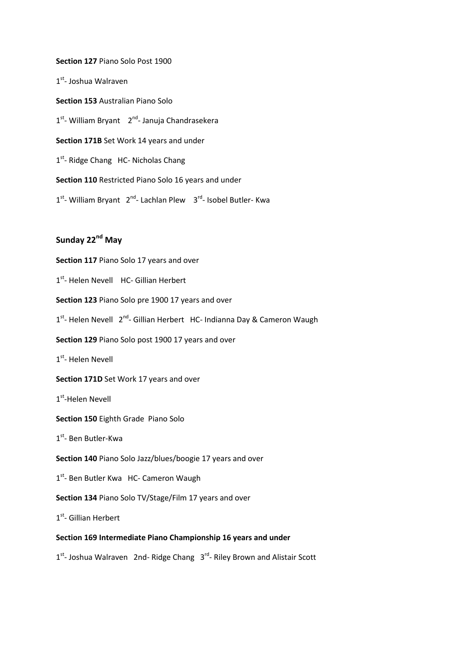**Section 127** Piano Solo Post 1900 1<sup>st</sup>- Joshua Walraven **Section 153** Australian Piano Solo 1<sup>st</sup>- William Bryant 2<sup>nd</sup>- Januja Chandrasekera **Section 171B** Set Work 14 years and under 1<sup>st</sup>- Ridge Chang HC- Nicholas Chang **Section 110** Restricted Piano Solo 16 years and under 1<sup>st</sup>- William Bryant 2<sup>nd</sup>- Lachlan Plew 3<sup>rd</sup>- Isobel Butler- Kwa

# **Sunday 22nd May**

**Section 117** Piano Solo 17 years and over 1<sup>st</sup>- Helen Nevell HC- Gillian Herbert **Section 123** Piano Solo pre 1900 17 years and over 1<sup>st</sup>- Helen Nevell 2<sup>nd</sup>- Gillian Herbert HC- Indianna Day & Cameron Waugh **Section 129** Piano Solo post 1900 17 years and over 1<sup>st</sup>- Helen Nevell **Section 171D** Set Work 17 years and over 1<sup>st</sup>-Helen Nevell **Section 150** Eighth Grade Piano Solo 1<sup>st</sup>- Ben Butler-Kwa **Section 140** Piano Solo Jazz/blues/boogie 17 years and over 1<sup>st</sup>- Ben Butler Kwa HC- Cameron Waugh **Section 134** Piano Solo TV/Stage/Film 17 years and over 1<sup>st</sup>- Gillian Herbert **Section 169 Intermediate Piano Championship 16 years and under**

1<sup>st</sup>- Joshua Walraven 2nd- Ridge Chang 3<sup>rd</sup>- Riley Brown and Alistair Scott